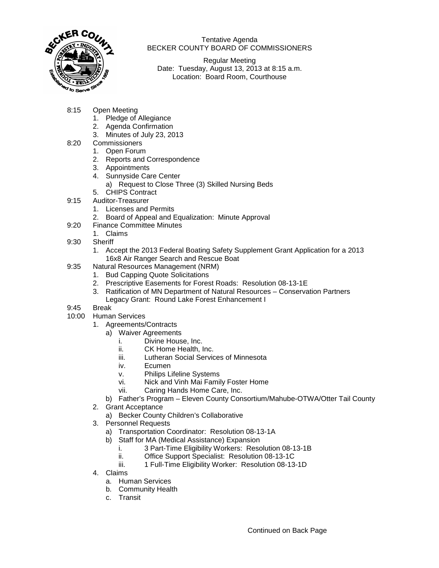

Tentative Agenda BECKER COUNTY BOARD OF COMMISSIONERS

Regular Meeting Date: Tuesday, August 13, 2013 at 8:15 a.m. Location: Board Room, Courthouse

- 8:15 Open Meeting
	- 1. Pledge of Allegiance
	- 2. Agenda Confirmation
	- 3. Minutes of July 23, 2013
- 8:20 Commissioners
	- 1. Open Forum
	- 2. Reports and Correspondence
	- 3. Appointments
	- 4. Sunnyside Care Center
		- a) Request to Close Three (3) Skilled Nursing Beds
	- 5. CHIPS Contract
- 9:15 Auditor-Treasurer
	- 1. Licenses and Permits
	- 2. Board of Appeal and Equalization: Minute Approval
- 9:20 Finance Committee Minutes
	- 1. Claims
- 9:30 Sheriff
	- 1. Accept the 2013 Federal Boating Safety Supplement Grant Application for a 2013 16x8 Air Ranger Search and Rescue Boat
- 9:35 Natural Resources Management (NRM)
	- 1. Bud Capping Quote Solicitations
	- 2. Prescriptive Easements for Forest Roads: Resolution 08-13-1E
	- 3. Ratification of MN Department of Natural Resources Conservation Partners Legacy Grant: Round Lake Forest Enhancement I
- 9:45 Break
- 10:00 Human Services
	- 1. Agreements/Contracts
		- a) Waiver Agreements
			- i. Divine House, Inc.
			- ii. CK Home Health, Inc.
			- iii. Lutheran Social Services of Minnesota
			- iv. Ecumen
			- v. Philips Lifeline Systems
			- vi. Nick and Vinh Mai Family Foster Home
			- vii. Caring Hands Home Care, Inc.
		- b) Father's Program Eleven County Consortium/Mahube-OTWA/Otter Tail County
	- 2. Grant Acceptance
		- a) Becker County Children's Collaborative
	- 3. Personnel Requests
		- a) Transportation Coordinator: Resolution 08-13-1A
		- b) Staff for MA (Medical Assistance) Expansion
			- i. 3 Part-Time Eligibility Workers: Resolution 08-13-1B
			- ii. Office Support Specialist: Resolution 08-13-1C
			- iii. 1 Full-Time Eligibility Worker: Resolution 08-13-1D
	- 4. Claims
		- a. Human Services
		- b. Community Health
		- c. Transit